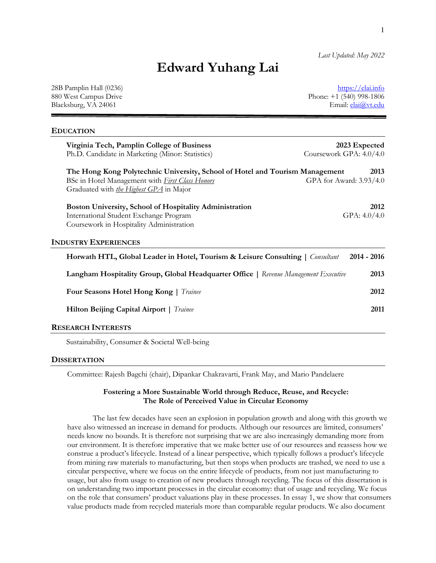*Last Updated: May 2022*

# **Edward Yuhang Lai**

28B Pamplin Hall (0236) https://elai.info 880 West Campus Drive Phone: +1 (540) 998-1806 Blacksburg, VA 24061 Email: elai@vt.edu

## **EDUCATION**

| Virginia Tech, Pamplin College of Business<br>Ph.D. Candidate in Marketing (Minor: Statistics)                                                                                      | 2023 Expected<br>Coursework GPA: 4.0/4.0 |
|-------------------------------------------------------------------------------------------------------------------------------------------------------------------------------------|------------------------------------------|
| The Hong Kong Polytechnic University, School of Hotel and Tourism Management<br>BSc in Hotel Management with <i>First Class Honors</i><br>Graduated with the Highest GPA in Major   | 2013<br>GPA for Award: 3.93/4.0          |
| <b>Boston University, School of Hospitality Administration</b><br>International Student Exchange Program<br>Coursework in Hospitality Administration<br><b>INDUSTRY EXPERIENCES</b> | 2012<br>GPA: $4.0/4.0$                   |
| <b>Horwath HTL, Global Leader in Hotel, Tourism &amp; Leisure Consulting</b>   Consultant                                                                                           | $2014 - 2016$                            |
| Langham Hospitality Group, Global Headquarter Office   Revenue Management Executive                                                                                                 | 2013                                     |
| Four Seasons Hotel Hong Kong   Trainee                                                                                                                                              | 2012                                     |
| <b>Hilton Beijing Capital Airport</b>   <i>Trainee</i>                                                                                                                              | 2011                                     |
|                                                                                                                                                                                     |                                          |

#### **RESEARCH INTERESTS**

Sustainability, Consumer & Societal Well-being

#### **DISSERTATION**

Committee: Rajesh Bagchi (chair), Dipankar Chakravarti, Frank May, and Mario Pandelaere

## **Fostering a More Sustainable World through Reduce, Reuse, and Recycle: The Role of Perceived Value in Circular Economy**

The last few decades have seen an explosion in population growth and along with this growth we have also witnessed an increase in demand for products. Although our resources are limited, consumers' needs know no bounds. It is therefore not surprising that we are also increasingly demanding more from our environment. It is therefore imperative that we make better use of our resources and reassess how we construe a product's lifecycle. Instead of a linear perspective, which typically follows a product's lifecycle from mining raw materials to manufacturing, but then stops when products are trashed, we need to use a circular perspective, where we focus on the entire lifecycle of products, from not just manufacturing to usage, but also from usage to creation of new products through recycling. The focus of this dissertation is on understanding two important processes in the circular economy: that of usage and recycling. We focus on the role that consumers' product valuations play in these processes. In essay 1, we show that consumers value products made from recycled materials more than comparable regular products. We also document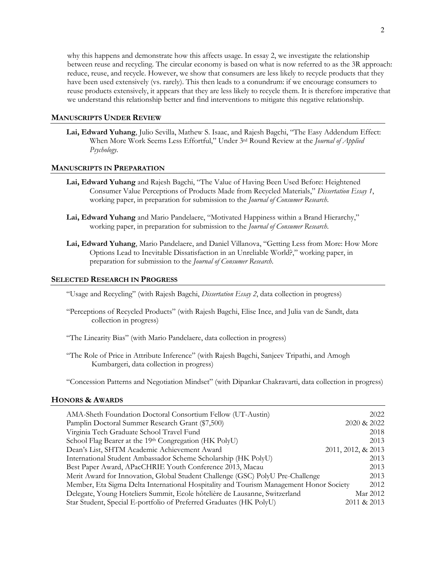why this happens and demonstrate how this affects usage. In essay 2, we investigate the relationship between reuse and recycling. The circular economy is based on what is now referred to as the 3R approach: reduce, reuse, and recycle. However, we show that consumers are less likely to recycle products that they have been used extensively (vs. rarely). This then leads to a conundrum: if we encourage consumers to reuse products extensively, it appears that they are less likely to recycle them. It is therefore imperative that we understand this relationship better and find interventions to mitigate this negative relationship.

# **MANUSCRIPTS UNDER REVIEW**

**Lai, Edward Yuhang**, Julio Sevilla, Mathew S. Isaac, and Rajesh Bagchi, "The Easy Addendum Effect: When More Work Seems Less Effortful," Under 3rd Round Review at the *Journal of Applied Psychology*.

## **MANUSCRIPTS IN PREPARATION**

- **Lai, Edward Yuhang** and Rajesh Bagchi, "The Value of Having Been Used Before: Heightened Consumer Value Perceptions of Products Made from Recycled Materials," *Dissertation Essay 1*, working paper, in preparation for submission to the *Journal of Consumer Research*.
- **Lai, Edward Yuhang** and Mario Pandelaere, "Motivated Happiness within a Brand Hierarchy," working paper, in preparation for submission to the *Journal of Consumer Research*.
- **Lai, Edward Yuhang**, Mario Pandelaere, and Daniel Villanova, "Getting Less from More: How More Options Lead to Inevitable Dissatisfaction in an Unreliable World?," working paper, in preparation for submission to the *Journal of Consumer Research*.

## **SELECTED RESEARCH IN PROGRESS**

"Usage and Recycling" (with Rajesh Bagchi, *Dissertation Essay 2*, data collection in progress)

- "Perceptions of Recycled Products" (with Rajesh Bagchi, Elise Ince, and Julia van de Sandt, data collection in progress)
- "The Linearity Bias" (with Mario Pandelaere, data collection in progress)
- "The Role of Price in Attribute Inference" (with Rajesh Bagchi, Sanjeev Tripathi, and Amogh Kumbargeri, data collection in progress)

"Concession Patterns and Negotiation Mindset" (with Dipankar Chakravarti, data collection in progress)

#### **HONORS & AWARDS**

| AMA-Sheth Foundation Doctoral Consortium Fellow (UT-Austin)                            | 2022               |
|----------------------------------------------------------------------------------------|--------------------|
| Pamplin Doctoral Summer Research Grant (\$7,500)                                       | 2020 & 2022        |
| Virginia Tech Graduate School Travel Fund                                              | 2018               |
| School Flag Bearer at the 19th Congregation (HK PolyU)                                 | 2013               |
| Dean's List, SHTM Academic Achievement Award                                           | 2011, 2012, & 2013 |
| International Student Ambassador Scheme Scholarship (HK PolyU)                         | 2013               |
| Best Paper Award, APacCHRIE Youth Conference 2013, Macau                               | 2013               |
| Merit Award for Innovation, Global Student Challenge (GSC) PolyU Pre-Challenge         | 2013               |
| Member, Eta Sigma Delta International Hospitality and Tourism Management Honor Society | 2012               |
| Delegate, Young Hoteliers Summit, Ecole hôtelière de Lausanne, Switzerland             | Mar 2012           |
| Star Student, Special E-portfolio of Preferred Graduates (HK PolyU)                    | 2011 & 2013        |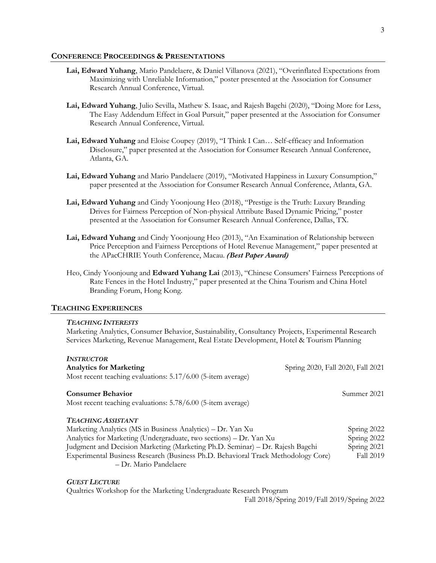#### **CONFERENCE PROCEEDINGS & PRESENTATIONS**

- **Lai, Edward Yuhang**, Mario Pandelaere, & Daniel Villanova (2021), "Overinflated Expectations from Maximizing with Unreliable Information," poster presented at the Association for Consumer Research Annual Conference, Virtual.
- **Lai, Edward Yuhang**, Julio Sevilla, Mathew S. Isaac, and Rajesh Bagchi (2020), "Doing More for Less, The Easy Addendum Effect in Goal Pursuit," paper presented at the Association for Consumer Research Annual Conference, Virtual.
- **Lai, Edward Yuhang** and Eloise Coupey (2019), "I Think I Can… Self-efficacy and Information Disclosure," paper presented at the Association for Consumer Research Annual Conference, Atlanta, GA.
- **Lai, Edward Yuhang** and Mario Pandelaere (2019), "Motivated Happiness in Luxury Consumption," paper presented at the Association for Consumer Research Annual Conference, Atlanta, GA.
- **Lai, Edward Yuhang** and Cindy Yoonjoung Heo (2018), "Prestige is the Truth: Luxury Branding Drives for Fairness Perception of Non-physical Attribute Based Dynamic Pricing," poster presented at the Association for Consumer Research Annual Conference, Dallas, TX.
- **Lai, Edward Yuhang** and Cindy Yoonjoung Heo (2013), "An Examination of Relationship between Price Perception and Fairness Perceptions of Hotel Revenue Management," paper presented at the APacCHRIE Youth Conference, Macau. *(Best Paper Award)*
- Heo, Cindy Yoonjoung and **Edward Yuhang Lai** (2013), "Chinese Consumers' Fairness Perceptions of Rate Fences in the Hotel Industry," paper presented at the China Tourism and China Hotel Branding Forum, Hong Kong.

## **TEACHING EXPERIENCES**

#### *TEACHING INTERESTS*

Marketing Analytics, Consumer Behavior, Sustainability, Consultancy Projects, Experimental Research Services Marketing, Revenue Management, Real Estate Development, Hotel & Tourism Planning

| <b>INSTRUCTOR</b><br><b>Analytics for Marketing</b>                               | Spring 2020, Fall 2020, Fall 2021 |
|-----------------------------------------------------------------------------------|-----------------------------------|
| Most recent teaching evaluations: 5.17/6.00 (5-item average)                      |                                   |
| <b>Consumer Behavior</b>                                                          | Summer 2021                       |
| Most recent teaching evaluations: 5.78/6.00 (5-item average)                      |                                   |
| <b>TEACHING ASSISTANT</b>                                                         |                                   |
| Marketing Analytics (MS in Business Analytics) – Dr. Yan Xu                       | Spring 2022                       |
| Analytics for Marketing (Undergraduate, two sections) - Dr. Yan Xu                | Spring 2022                       |
| Judgment and Decision Marketing (Marketing Ph.D. Seminar) - Dr. Rajesh Bagchi     | Spring 2021                       |
| Experimental Business Research (Business Ph.D. Behavioral Track Methodology Core) | <b>Fall 2019</b>                  |
| - Dr. Mario Pandelaere                                                            |                                   |
| <b>GUEST LECTURE</b>                                                              |                                   |

Qualtrics Workshop for the Marketing Undergraduate Research Program

Fall 2018/Spring 2019/Fall 2019/Spring 2022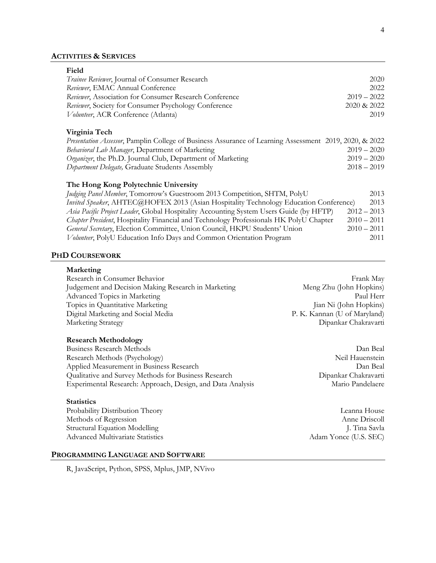# **ACTIVITIES & SERVICES**

| Field                                                                                                  |               |
|--------------------------------------------------------------------------------------------------------|---------------|
| Trainee Reviewer, Journal of Consumer Research                                                         | 2020          |
| Reviewer, EMAC Annual Conference                                                                       | 2022          |
| Reviewer, Association for Consumer Research Conference                                                 | $2019 - 2022$ |
| Reviewer, Society for Consumer Psychology Conference                                                   | 2020 & 2022   |
| Volunteer, ACR Conference (Atlanta)                                                                    | 2019          |
| Virginia Tech                                                                                          |               |
| Presentation Assessor, Pamplin College of Business Assurance of Learning Assessment 2019, 2020, & 2022 |               |
| Behavioral Lab Manager, Department of Marketing                                                        | $2019 - 2020$ |
| Organizer, the Ph.D. Journal Club, Department of Marketing                                             | $2019 - 2020$ |
| Department Delegate, Graduate Students Assembly                                                        | $2018 - 2019$ |
|                                                                                                        |               |
| The Hong Kong Polytechnic University                                                                   |               |
| Judging Panel Member, Tomorrow's Guestroom 2013 Competition, SHTM, PolyU                               | 2013          |
| Invited Speaker, AHTEC@HOFEX 2013 (Asian Hospitality Technology Education Conference)                  | 2013          |
| Asia Pacific Project Leader, Global Hospitality Accounting System Users Guide (by HFTP)                | $2012 - 2013$ |
| Chapter President, Hospitality Financial and Technology Professionals HK PolyU Chapter                 | $2010 - 2011$ |
| General Secretary, Election Committee, Union Council, HKPU Students' Union                             | $2010 - 2011$ |
| Volunteer, PolyU Education Info Days and Common Orientation Program                                    | 2011          |

#### **PHD COURSEWORK**

## **Marketing**

| Research in Consumer Behavior                       | Frank May                    |
|-----------------------------------------------------|------------------------------|
| Judgement and Decision Making Research in Marketing | Meng Zhu (John Hopkins)      |
| Advanced Topics in Marketing                        | Paul Herr                    |
| Topics in Quantitative Marketing                    | Jian Ni (John Hopkins)       |
| Digital Marketing and Social Media                  | P. K. Kannan (U of Maryland) |
| Marketing Strategy                                  | Dipankar Chakravarti         |

# **Research Methodology**

Business Research Methods Dan Beal Research Methods (Psychology) Neil Hauenstein Applied Measurement in Business Research Dan Beal Qualitative and Survey Methods for Business Research Dipankar Chakravarti Experimental Research: Approach, Design, and Data Analysis Mario Pandelaere

#### **Statistics**

Probability Distribution Theory Leanna House Methods of Regression Anne Driscoll Structural Equation Modelling and Savis and Savis J. Tina Savla Advanced Multivariate Statistics Adam Yonce (U.S. SEC)

# **PROGRAMMING LANGUAGE AND SOFTWARE**

R, JavaScript, Python, SPSS, Mplus, JMP, NVivo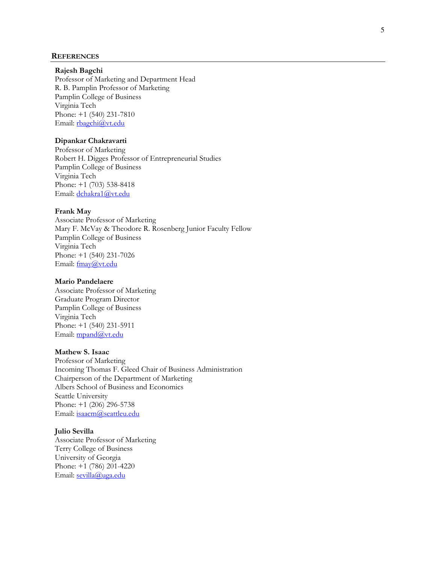#### **REFERENCES**

## **Rajesh Bagchi**

Professor of Marketing and Department Head R. B. Pamplin Professor of Marketing Pamplin College of Business Virginia Tech Phone: +1 (540) 231-7810 Email: rbagchi@vt.edu

# **Dipankar Chakravarti**

Professor of Marketing Robert H. Digges Professor of Entrepreneurial Studies Pamplin College of Business Virginia Tech Phone: +1 (703) 538-8418 Email: dchakra1@vt.edu

#### **Frank May**

Associate Professor of Marketing Mary F. McVay & Theodore R. Rosenberg Junior Faculty Fellow Pamplin College of Business Virginia Tech Phone: +1 (540) 231-7026 Email: fmay@vt.edu

#### **Mario Pandelaere**

Associate Professor of Marketing Graduate Program Director Pamplin College of Business Virginia Tech Phone: +1 (540) 231 -5911 Email: mpand@vt.edu

# **Mathew S. Isaac**

Professor of Marketing Incoming Thomas F. Gleed Chair of Business Administration Chairperson of the Department of Marketing Albers School of Business and Economics Seattle University Phone: +1 (206) 296-5738 Email: isaacm@seattleu.edu

#### **Julio Sevilla**

Associate Professor of Marketing Terry College of Business University of Georgia Phone: +1 (786) 201-4220 Email: sevilla@uga.edu